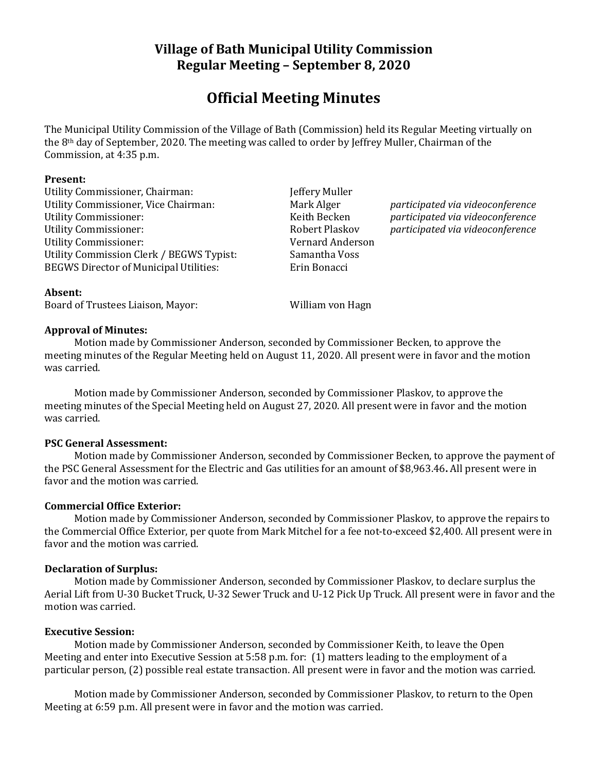# **Village of Bath Municipal Utility Commission Regular Meeting – September 8, 2020**

# **Official Meeting Minutes**

The Municipal Utility Commission of the Village of Bath (Commission) held its Regular Meeting virtually on the 8th day of September, 2020. The meeting was called to order by Jeffrey Muller, Chairman of the Commission, at 4:35 p.m.

#### **Present:**

Utility Commissioner, Chairman: Jeffery Muller Utility Commissioner, Vice Chairman: Mark Alger *participated via videoconference* Utility Commissioner: Keith Becken *participated via videoconference* Utility Commissioner: Robert Plaskov *participated via videoconference* Utility Commissioner: Vernard Anderson Utility Commission Clerk / BEGWS Typist: Samantha Voss BEGWS Director of Municipal Utilities: Erin Bonacci

#### **Absent:**

Board of Trustees Liaison, Mayor: William von Hagn

#### **Approval of Minutes:**

Motion made by Commissioner Anderson, seconded by Commissioner Becken, to approve the meeting minutes of the Regular Meeting held on August 11, 2020. All present were in favor and the motion was carried.

Motion made by Commissioner Anderson, seconded by Commissioner Plaskov, to approve the meeting minutes of the Special Meeting held on August 27, 2020. All present were in favor and the motion was carried.

#### **PSC General Assessment:**

Motion made by Commissioner Anderson, seconded by Commissioner Becken, to approve the payment of the PSC General Assessment for the Electric and Gas utilities for an amount of \$8,963.46**.** All present were in favor and the motion was carried.

#### **Commercial Office Exterior:**

Motion made by Commissioner Anderson, seconded by Commissioner Plaskov, to approve the repairs to the Commercial Office Exterior, per quote from Mark Mitchel for a fee not-to-exceed \$2,400. All present were in favor and the motion was carried.

#### **Declaration of Surplus:**

Motion made by Commissioner Anderson, seconded by Commissioner Plaskov, to declare surplus the Aerial Lift from U-30 Bucket Truck, U-32 Sewer Truck and U-12 Pick Up Truck. All present were in favor and the motion was carried.

#### **Executive Session:**

Motion made by Commissioner Anderson, seconded by Commissioner Keith, to leave the Open Meeting and enter into Executive Session at 5:58 p.m. for: (1) matters leading to the employment of a particular person, (2) possible real estate transaction. All present were in favor and the motion was carried.

Motion made by Commissioner Anderson, seconded by Commissioner Plaskov, to return to the Open Meeting at 6:59 p.m. All present were in favor and the motion was carried.